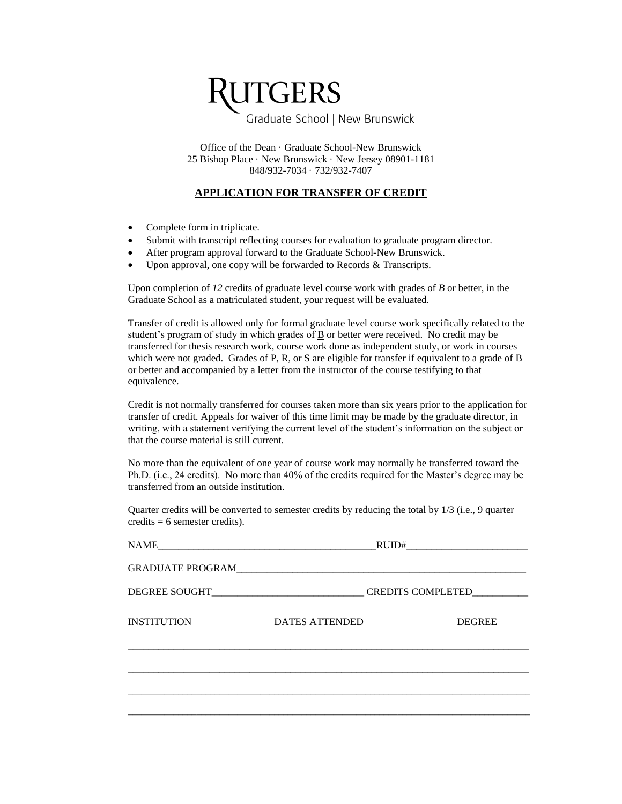

Office of the Dean · Graduate School-New Brunswick 25 Bishop Place · New Brunswick · New Jersey 08901-1181 848/932-7034 · 732/932-7407

## **APPLICATION FOR TRANSFER OF CREDIT**

- Complete form in triplicate.
- Submit with transcript reflecting courses for evaluation to graduate program director.
- After program approval forward to the Graduate School-New Brunswick.
- Upon approval, one copy will be forwarded to Records & Transcripts.

Upon completion of *12* credits of graduate level course work with grades of *B* or better, in the Graduate School as a matriculated student, your request will be evaluated.

Transfer of credit is allowed only for formal graduate level course work specifically related to the student's program of study in which grades of  $\underline{B}$  or better were received. No credit may be transferred for thesis research work, course work done as independent study, or work in courses which were not graded. Grades of P, R, or S are eligible for transfer if equivalent to a grade of B or better and accompanied by a letter from the instructor of the course testifying to that equivalence.

Credit is not normally transferred for courses taken more than six years prior to the application for transfer of credit. Appeals for waiver of this time limit may be made by the graduate director, in writing, with a statement verifying the current level of the student's information on the subject or that the course material is still current.

No more than the equivalent of one year of course work may normally be transferred toward the Ph.D. (i.e., 24 credits). No more than 40% of the credits required for the Master's degree may be transferred from an outside institution.

Quarter credits will be converted to semester credits by reducing the total by 1/3 (i.e., 9 quarter credits  $= 6$  semester credits).

| NAME_              | RUID#                 |               |  |  |  |
|--------------------|-----------------------|---------------|--|--|--|
|                    | GRADUATE PROGRAM      |               |  |  |  |
|                    | CREDITS COMPLETED     |               |  |  |  |
| <b>INSTITUTION</b> | <b>DATES ATTENDED</b> | <b>DEGREE</b> |  |  |  |
|                    |                       |               |  |  |  |
|                    |                       |               |  |  |  |
|                    |                       |               |  |  |  |
|                    |                       |               |  |  |  |